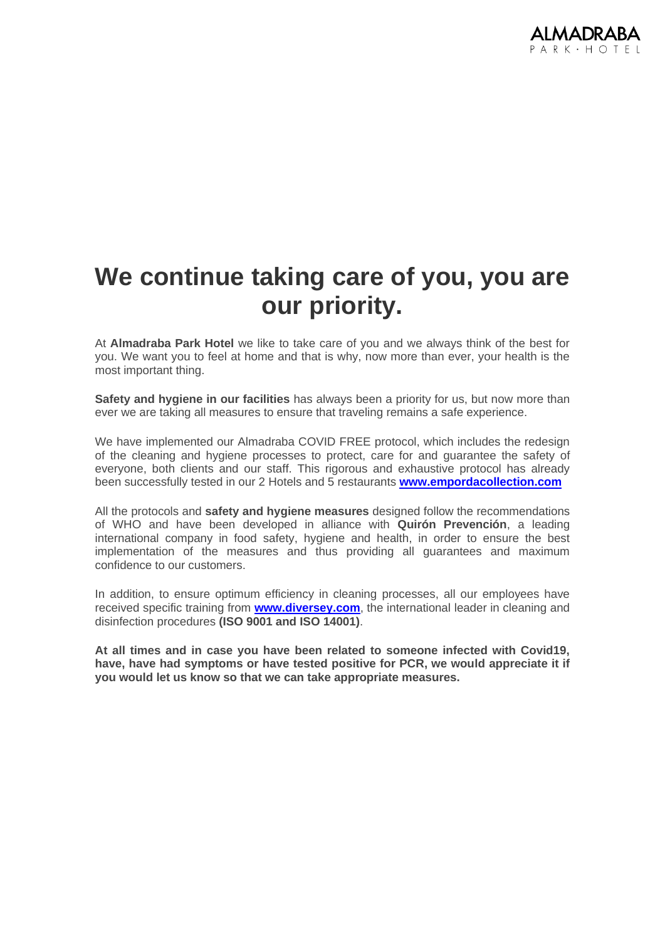

## **We continue taking care of you, you are our priority.**

At **Almadraba Park Hotel** we like to take care of you and we always think of the best for you. We want you to feel at home and that is why, now more than ever, your health is the most important thing.

**Safety and hygiene in our facilities** has always been a priority for us, but now more than ever we are taking all measures to ensure that traveling remains a safe experience.

We have implemented our Almadraba COVID FREE protocol, which includes the redesign of the cleaning and hygiene processes to protect, care for and guarantee the safety of everyone, both clients and our staff. This rigorous and exhaustive protocol has already been successfully tested in our 2 Hotels and 5 restaurants **[www.empordacollection.com](http://www.empordacollection.com/)**

All the protocols and **safety and hygiene measures** designed follow the recommendations of WHO and have been developed in alliance with **Quirón Prevención**, a leading international company in food safety, hygiene and health, in order to ensure the best implementation of the measures and thus providing all guarantees and maximum confidence to our customers.

In addition, to ensure optimum efficiency in cleaning processes, all our employees have received specific training from **[www.diversey.com](http://www.diversey.com/)**, the international leader in cleaning and disinfection procedures **(ISO 9001 and ISO 14001)**.

**At all times and in case you have been related to someone infected with Covid19,**  have, have had symptoms or have tested positive for PCR, we would appreciate it if **you would let us know so that we can take appropriate measures.**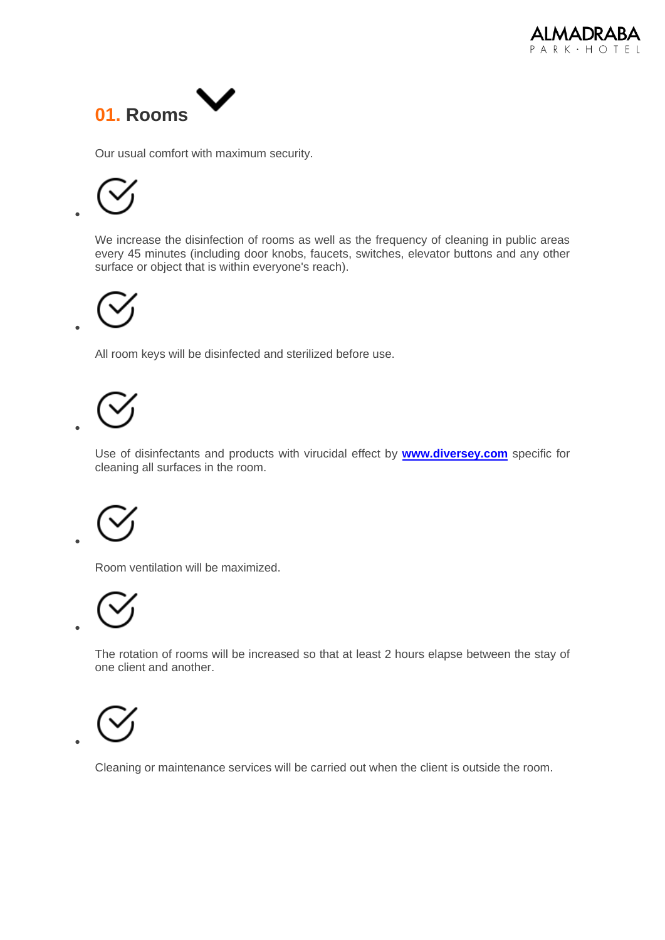



Our usual comfort with maximum security.

•

•

•

•

•

•

We increase the disinfection of rooms as well as the frequency of cleaning in public areas every 45 minutes (including door knobs, faucets, switches, elevator buttons and any other surface or object that is within everyone's reach).

All room keys will be disinfected and sterilized before use.

Use of disinfectants and products with virucidal effect by **[www.diversey.com](http://www.diversey.com/)** specific for cleaning all surfaces in the room.

Room ventilation will be maximized.

The rotation of rooms will be increased so that at least 2 hours elapse between the stay of one client and another.



Cleaning or maintenance services will be carried out when the client is outside the room.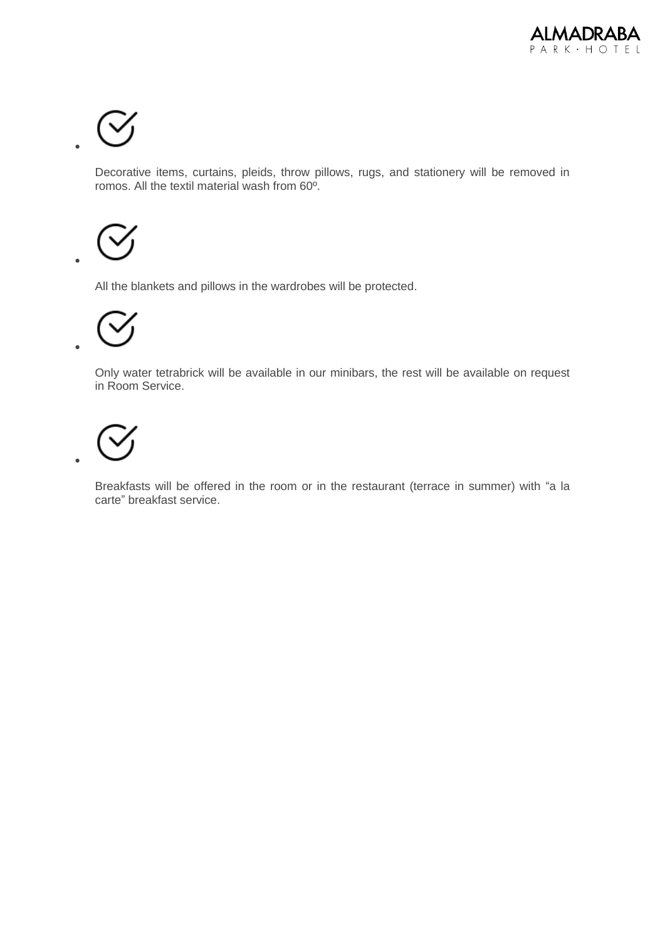

•

•

•

•

Decorative items, curtains, pleids, throw pillows, rugs, and stationery will be removed in romos. All the textil material wash from 60º.

All the blankets and pillows in the wardrobes will be protected.

Only water tetrabrick will be available in our minibars, the rest will be available on request in Room Service.

Breakfasts will be offered in the room or in the restaurant (terrace in summer) with "a la carte" breakfast service.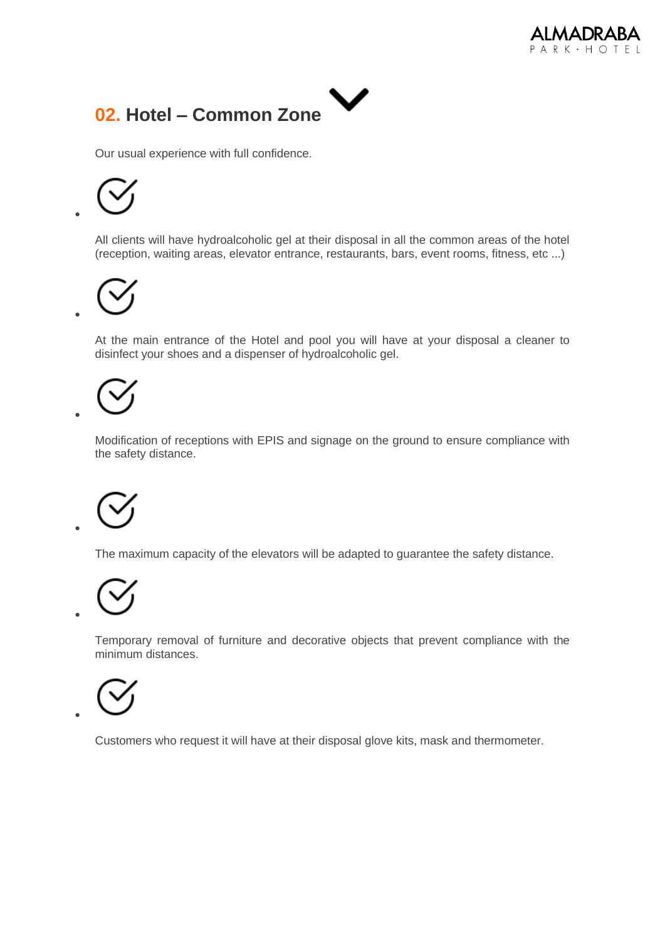



Our usual experience with full confidence.

•

•

•

•

•

•

All clients will have hydroalcoholic gel at their disposal in all the common areas of the hotel (reception, waiting areas, elevator entrance, restaurants, bars, event rooms, fitness, etc ...)

At the main entrance of the Hotel and pool you will have at your disposal a cleaner to disinfect your shoes and a dispenser of hydroalcoholic gel.

Modification of receptions with EPIS and signage on the ground to ensure compliance with the safety distance.

The maximum capacity of the elevators will be adapted to guarantee the safety distance.



Temporary removal of furniture and decorative objects that prevent compliance with the minimum distances.



Customers who request it will have at their disposal glove kits, mask and thermometer.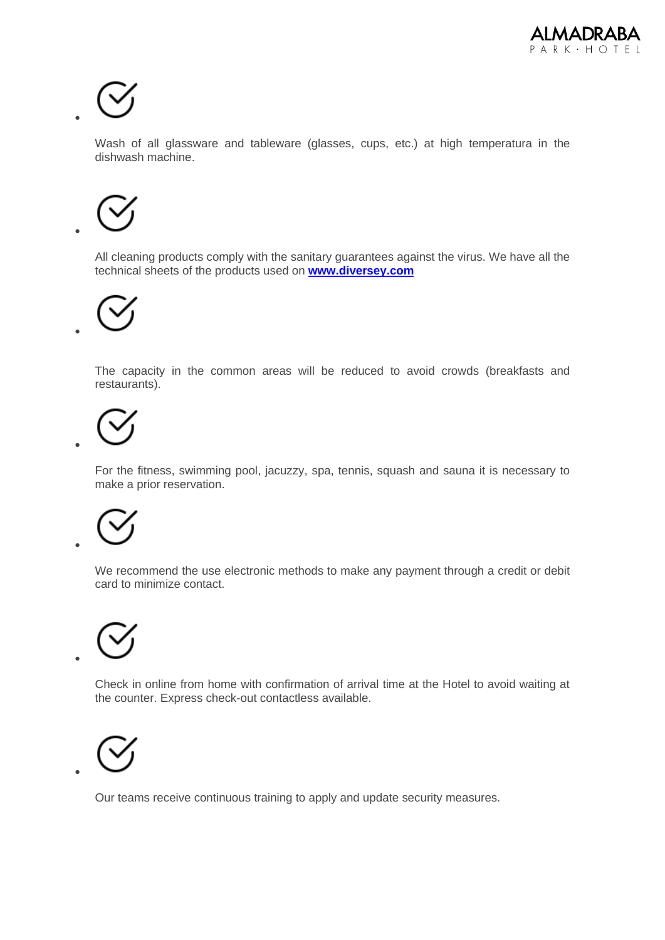

•

•

•

•

•

•

•

Wash of all glassware and tableware (glasses, cups, etc.) at high temperatura in the dishwash machine.

All cleaning products comply with the sanitary guarantees against the virus. We have all the technical sheets of the products used on **[www.diversey.com](http://www.diversey.com/)**

The capacity in the common areas will be reduced to avoid crowds (breakfasts and restaurants).

For the fitness, swimming pool, jacuzzy, spa, tennis, squash and sauna it is necessary to make a prior reservation.

We recommend the use electronic methods to make any payment through a credit or debit card to minimize contact.

Check in online from home with confirmation of arrival time at the Hotel to avoid waiting at the counter. Express check-out contactless available.



Our teams receive continuous training to apply and update security measures.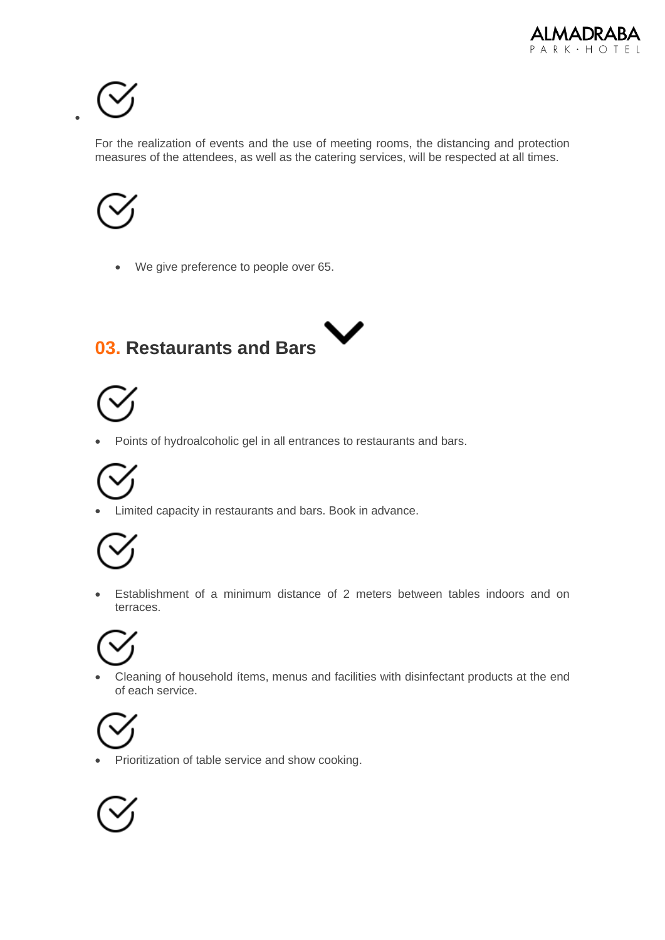

•

For the realization of events and the use of meeting rooms, the distancing and protection measures of the attendees, as well as the catering services, will be respected at all times.



• We give preference to people over 65.

### V **03. Restaurants and Bars**



• Points of hydroalcoholic gel in all entrances to restaurants and bars.



• Limited capacity in restaurants and bars. Book in advance.



• Establishment of a minimum distance of 2 meters between tables indoors and on terraces.

• Cleaning of household ítems, menus and facilities with disinfectant products at the end of each service.



• Prioritization of table service and show cooking.

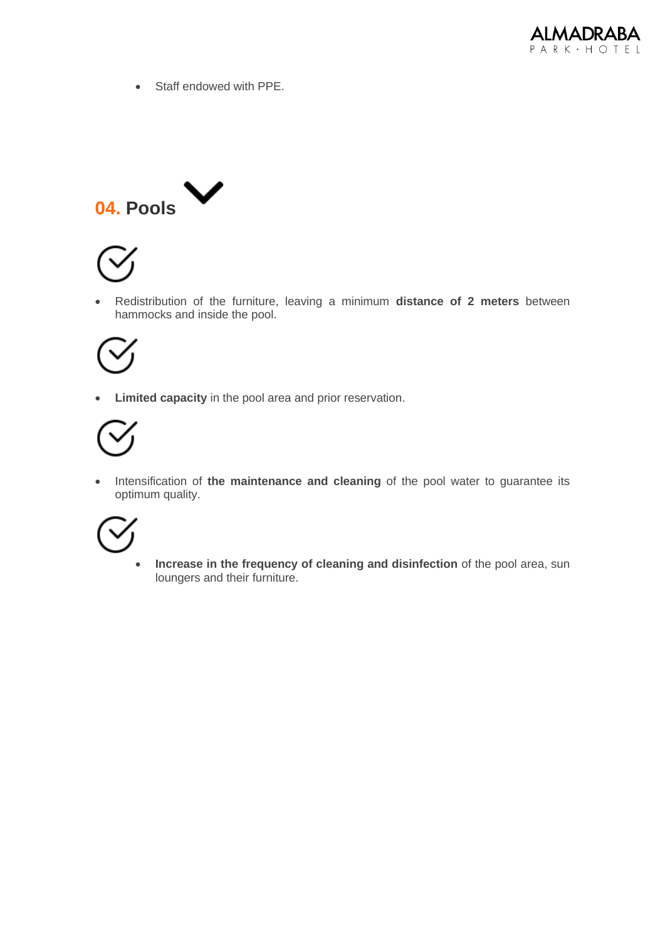

• Staff endowed with PPE.





• Redistribution of the furniture, leaving a minimum **distance of 2 meters** between hammocks and inside the pool.



• **Limited capacity** in the pool area and prior reservation.



• Intensification of **the maintenance and cleaning** of the pool water to guarantee its optimum quality.



• **Increase in the frequency of cleaning and disinfection** of the pool area, sun loungers and their furniture.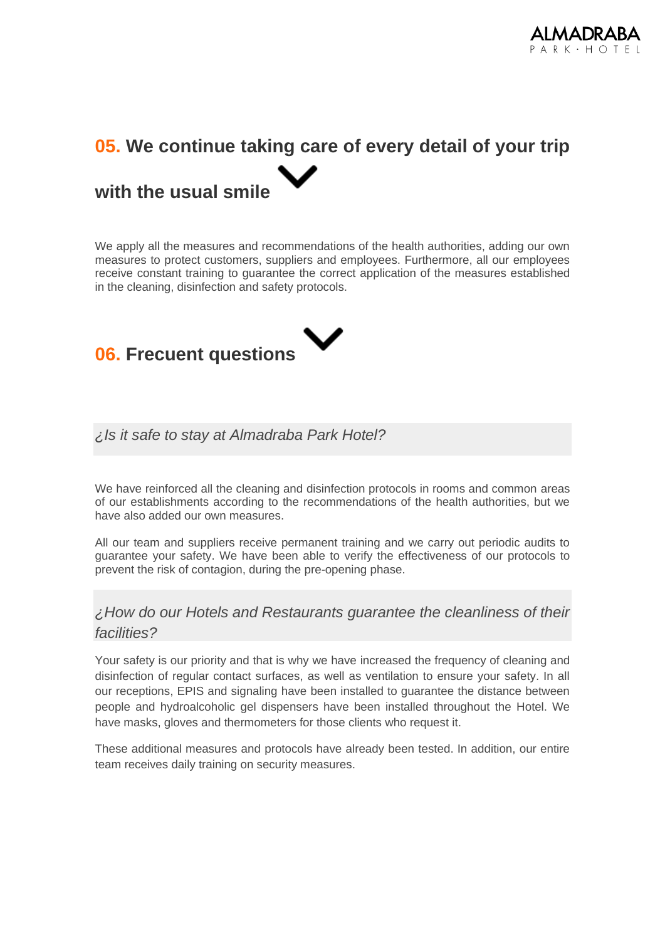

# **05. We continue taking care of every detail of your trip with the usual smile**

We apply all the measures and recommendations of the health authorities, adding our own measures to protect customers, suppliers and employees. Furthermore, all our employees receive constant training to guarantee the correct application of the measures established in the cleaning, disinfection and safety protocols.



### *¿Is it safe to stay at Almadraba Park Hotel?*

We have reinforced all the cleaning and disinfection protocols in rooms and common areas of our establishments according to the recommendations of the health authorities, but we have also added our own measures.

All our team and suppliers receive permanent training and we carry out periodic audits to guarantee your safety. We have been able to verify the effectiveness of our protocols to prevent the risk of contagion, during the pre-opening phase.

### *¿How do our Hotels and Restaurants guarantee the cleanliness of their facilities?*

Your safety is our priority and that is why we have increased the frequency of cleaning and disinfection of regular contact surfaces, as well as ventilation to ensure your safety. In all our receptions, EPIS and signaling have been installed to guarantee the distance between people and hydroalcoholic gel dispensers have been installed throughout the Hotel. We have masks, gloves and thermometers for those clients who request it.

These additional measures and protocols have already been tested. In addition, our entire team receives daily training on security measures.